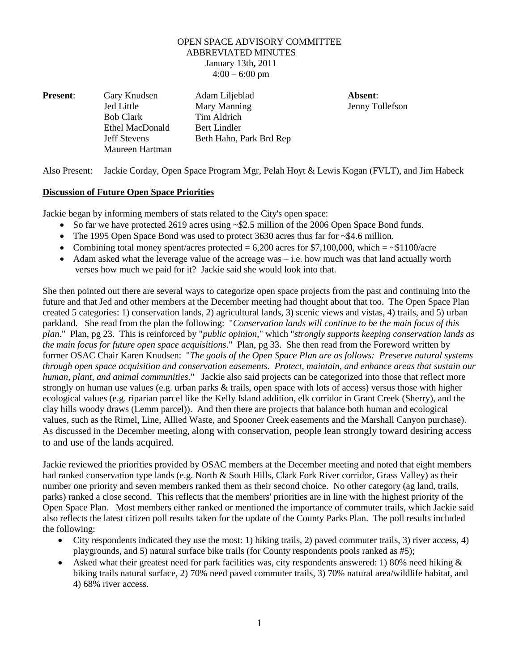## OPEN SPACE ADVISORY COMMITTEE ABBREVIATED MINUTES January 13th**,** 2011  $4:00 - 6:00$  pm

| <b>Present:</b> | Gary Knudsen        | Adam Liljeblad          | Absent:  |
|-----------------|---------------------|-------------------------|----------|
|                 | Jed Little          | Mary Manning            | Jenny To |
|                 | <b>Bob Clark</b>    | Tim Aldrich             |          |
|                 | Ethel MacDonald     | Bert Lindler            |          |
|                 | <b>Jeff Stevens</b> | Beth Hahn, Park Brd Rep |          |
|                 | Maureen Hartman     |                         |          |

Jenny Tollefson

Also Present: Jackie Corday, Open Space Program Mgr, Pelah Hoyt & Lewis Kogan (FVLT), and Jim Habeck

## **Discussion of Future Open Space Priorities**

Jackie began by informing members of stats related to the City's open space:

- $\bullet$  So far we have protected 2619 acres using  $\sim$  \$2.5 million of the 2006 Open Space Bond funds.
- The 1995 Open Space Bond was used to protect 3630 acres thus far for ~\$4.6 million.
- Combining total money spent/acres protected =  $6,200$  acres for \$7,100,000, which =  $\sim$ \$1100/acre
- Adam asked what the leverage value of the acreage was  $-i.e.$  how much was that land actually worth verses how much we paid for it? Jackie said she would look into that.

She then pointed out there are several ways to categorize open space projects from the past and continuing into the future and that Jed and other members at the December meeting had thought about that too. The Open Space Plan created 5 categories: 1) conservation lands, 2) agricultural lands, 3) scenic views and vistas, 4) trails, and 5) urban parkland. She read from the plan the following: "*Conservation lands will continue to be the main focus of this plan*." Plan, pg 23. This is reinforced by "*public opinion*," which "*strongly supports keeping conservation lands as the main focus for future open space acquisitions*." Plan, pg 33. She then read from the Foreword written by former OSAC Chair Karen Knudsen: "*The goals of the Open Space Plan are as follows: Preserve natural systems through open space acquisition and conservation easements. Protect, maintain, and enhance areas that sustain our human, plant, and animal communities*." Jackie also said projects can be categorized into those that reflect more strongly on human use values (e.g. urban parks & trails, open space with lots of access) versus those with higher ecological values (e.g. riparian parcel like the Kelly Island addition, elk corridor in Grant Creek (Sherry), and the clay hills woody draws (Lemm parcel)). And then there are projects that balance both human and ecological values, such as the Rimel, Line, Allied Waste, and Spooner Creek easements and the Marshall Canyon purchase). As discussed in the December meeting, along with conservation, people lean strongly toward desiring access to and use of the lands acquired.

Jackie reviewed the priorities provided by OSAC members at the December meeting and noted that eight members had ranked conservation type lands (e.g. North & South Hills, Clark Fork River corridor, Grass Valley) as their number one priority and seven members ranked them as their second choice. No other category (ag land, trails, parks) ranked a close second. This reflects that the members' priorities are in line with the highest priority of the Open Space Plan. Most members either ranked or mentioned the importance of commuter trails, which Jackie said also reflects the latest citizen poll results taken for the update of the County Parks Plan. The poll results included the following:

- City respondents indicated they use the most: 1) hiking trails, 2) paved commuter trails, 3) river access, 4) playgrounds, and 5) natural surface bike trails (for County respondents pools ranked as #5);
- Asked what their greatest need for park facilities was, city respondents answered: 1) 80% need hiking  $\&$ biking trails natural surface, 2) 70% need paved commuter trails, 3) 70% natural area/wildlife habitat, and 4) 68% river access.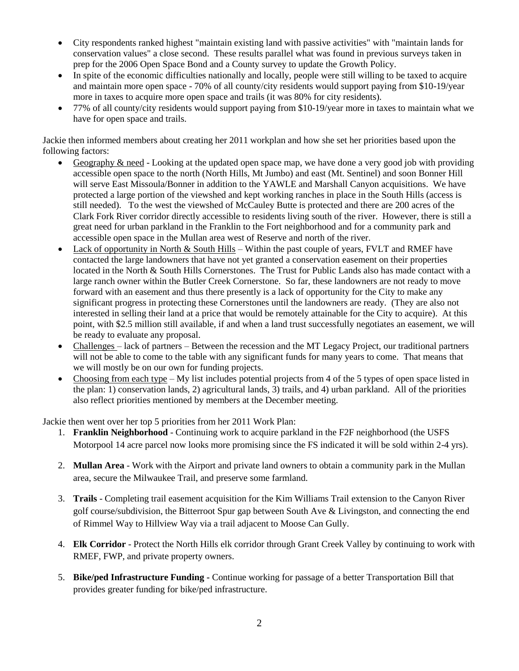- City respondents ranked highest "maintain existing land with passive activities" with "maintain lands for conservation values" a close second. These results parallel what was found in previous surveys taken in prep for the 2006 Open Space Bond and a County survey to update the Growth Policy.
- In spite of the economic difficulties nationally and locally, people were still willing to be taxed to acquire and maintain more open space - 70% of all county/city residents would support paying from \$10-19/year more in taxes to acquire more open space and trails (it was 80% for city residents).
- 77% of all county/city residents would support paying from \$10-19/year more in taxes to maintain what we have for open space and trails.

Jackie then informed members about creating her 2011 workplan and how she set her priorities based upon the following factors:

- Geography & need Looking at the updated open space map, we have done a very good job with providing accessible open space to the north (North Hills, Mt Jumbo) and east (Mt. Sentinel) and soon Bonner Hill will serve East Missoula/Bonner in addition to the YAWLE and Marshall Canyon acquisitions. We have protected a large portion of the viewshed and kept working ranches in place in the South Hills (access is still needed). To the west the viewshed of McCauley Butte is protected and there are 200 acres of the Clark Fork River corridor directly accessible to residents living south of the river. However, there is still a great need for urban parkland in the Franklin to the Fort neighborhood and for a community park and accessible open space in the Mullan area west of Reserve and north of the river.
- Lack of opportunity in North  $\&$  South Hills Within the past couple of years, FVLT and RMEF have contacted the large landowners that have not yet granted a conservation easement on their properties located in the North & South Hills Cornerstones. The Trust for Public Lands also has made contact with a large ranch owner within the Butler Creek Cornerstone. So far, these landowners are not ready to move forward with an easement and thus there presently is a lack of opportunity for the City to make any significant progress in protecting these Cornerstones until the landowners are ready. (They are also not interested in selling their land at a price that would be remotely attainable for the City to acquire). At this point, with \$2.5 million still available, if and when a land trust successfully negotiates an easement, we will be ready to evaluate any proposal.
- Challenges lack of partners Between the recession and the MT Legacy Project, our traditional partners will not be able to come to the table with any significant funds for many years to come. That means that we will mostly be on our own for funding projects.
- Choosing from each type My list includes potential projects from 4 of the 5 types of open space listed in the plan: 1) conservation lands, 2) agricultural lands, 3) trails, and 4) urban parkland. All of the priorities also reflect priorities mentioned by members at the December meeting.

Jackie then went over her top 5 priorities from her 2011 Work Plan:

- 1. **Franklin Neighborhood** Continuing work to acquire parkland in the F2F neighborhood (the USFS Motorpool 14 acre parcel now looks more promising since the FS indicated it will be sold within 2-4 yrs).
- 2. **Mullan Area** Work with the Airport and private land owners to obtain a community park in the Mullan area, secure the Milwaukee Trail, and preserve some farmland.
- 3. **Trails** Completing trail easement acquisition for the Kim Williams Trail extension to the Canyon River golf course/subdivision, the Bitterroot Spur gap between South Ave & Livingston, and connecting the end of Rimmel Way to Hillview Way via a trail adjacent to Moose Can Gully.
- 4. **Elk Corridor** Protect the North Hills elk corridor through Grant Creek Valley by continuing to work with RMEF, FWP, and private property owners.
- 5. **Bike/ped Infrastructure Funding -** Continue working for passage of a better Transportation Bill that provides greater funding for bike/ped infrastructure.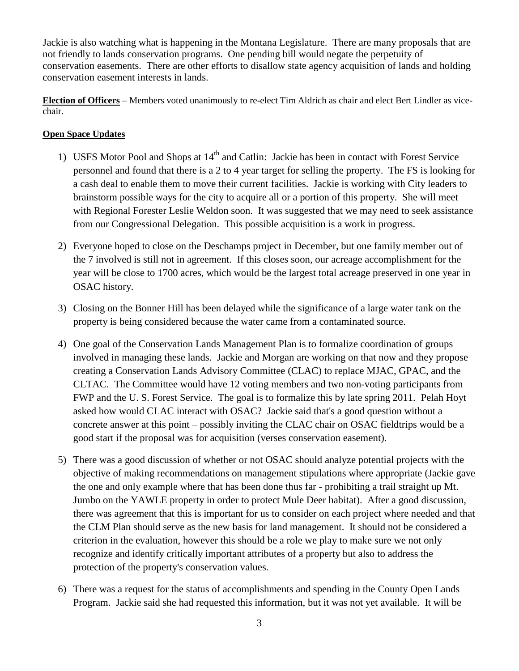Jackie is also watching what is happening in the Montana Legislature. There are many proposals that are not friendly to lands conservation programs. One pending bill would negate the perpetuity of conservation easements. There are other efforts to disallow state agency acquisition of lands and holding conservation easement interests in lands.

**Election of Officers** – Members voted unanimously to re-elect Tim Aldrich as chair and elect Bert Lindler as vicechair.

## **Open Space Updates**

- 1) USFS Motor Pool and Shops at 14<sup>th</sup> and Catlin: Jackie has been in contact with Forest Service personnel and found that there is a 2 to 4 year target for selling the property. The FS is looking for a cash deal to enable them to move their current facilities. Jackie is working with City leaders to brainstorm possible ways for the city to acquire all or a portion of this property. She will meet with Regional Forester Leslie Weldon soon. It was suggested that we may need to seek assistance from our Congressional Delegation. This possible acquisition is a work in progress.
- 2) Everyone hoped to close on the Deschamps project in December, but one family member out of the 7 involved is still not in agreement. If this closes soon, our acreage accomplishment for the year will be close to 1700 acres, which would be the largest total acreage preserved in one year in OSAC history.
- 3) Closing on the Bonner Hill has been delayed while the significance of a large water tank on the property is being considered because the water came from a contaminated source.
- 4) One goal of the Conservation Lands Management Plan is to formalize coordination of groups involved in managing these lands. Jackie and Morgan are working on that now and they propose creating a Conservation Lands Advisory Committee (CLAC) to replace MJAC, GPAC, and the CLTAC. The Committee would have 12 voting members and two non-voting participants from FWP and the U. S. Forest Service. The goal is to formalize this by late spring 2011. Pelah Hoyt asked how would CLAC interact with OSAC? Jackie said that's a good question without a concrete answer at this point – possibly inviting the CLAC chair on OSAC fieldtrips would be a good start if the proposal was for acquisition (verses conservation easement).
- 5) There was a good discussion of whether or not OSAC should analyze potential projects with the objective of making recommendations on management stipulations where appropriate (Jackie gave the one and only example where that has been done thus far - prohibiting a trail straight up Mt. Jumbo on the YAWLE property in order to protect Mule Deer habitat). After a good discussion, there was agreement that this is important for us to consider on each project where needed and that the CLM Plan should serve as the new basis for land management. It should not be considered a criterion in the evaluation, however this should be a role we play to make sure we not only recognize and identify critically important attributes of a property but also to address the protection of the property's conservation values.
- 6) There was a request for the status of accomplishments and spending in the County Open Lands Program. Jackie said she had requested this information, but it was not yet available. It will be